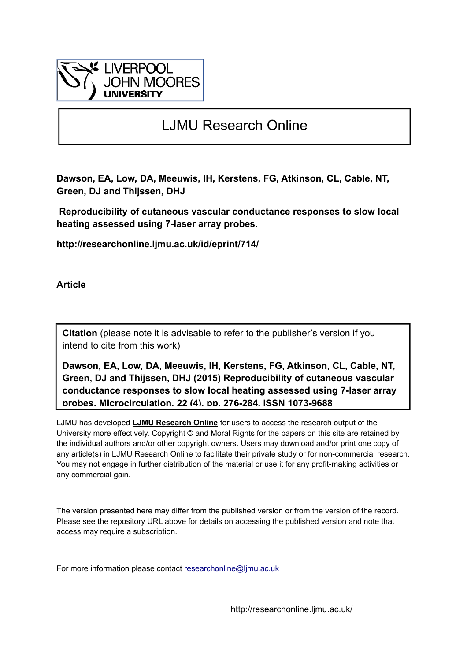

# LJMU Research Online

**Dawson, EA, Low, DA, Meeuwis, IH, Kerstens, FG, Atkinson, CL, Cable, NT, Green, DJ and Thijssen, DHJ**

 **Reproducibility of cutaneous vascular conductance responses to slow local heating assessed using 7-laser array probes.**

**http://researchonline.ljmu.ac.uk/id/eprint/714/**

**Article**

**Citation** (please note it is advisable to refer to the publisher's version if you intend to cite from this work)

**Dawson, EA, Low, DA, Meeuwis, IH, Kerstens, FG, Atkinson, CL, Cable, NT, Green, DJ and Thijssen, DHJ (2015) Reproducibility of cutaneous vascular conductance responses to slow local heating assessed using 7-laser array probes. Microcirculation, 22 (4). pp. 276-284. ISSN 1073-9688** 

LJMU has developed **[LJMU Research Online](http://researchonline.ljmu.ac.uk/)** for users to access the research output of the University more effectively. Copyright © and Moral Rights for the papers on this site are retained by the individual authors and/or other copyright owners. Users may download and/or print one copy of any article(s) in LJMU Research Online to facilitate their private study or for non-commercial research. You may not engage in further distribution of the material or use it for any profit-making activities or any commercial gain.

The version presented here may differ from the published version or from the version of the record. Please see the repository URL above for details on accessing the published version and note that access may require a subscription.

For more information please contact researchonline@limu.ac.uk

http://researchonline.ljmu.ac.uk/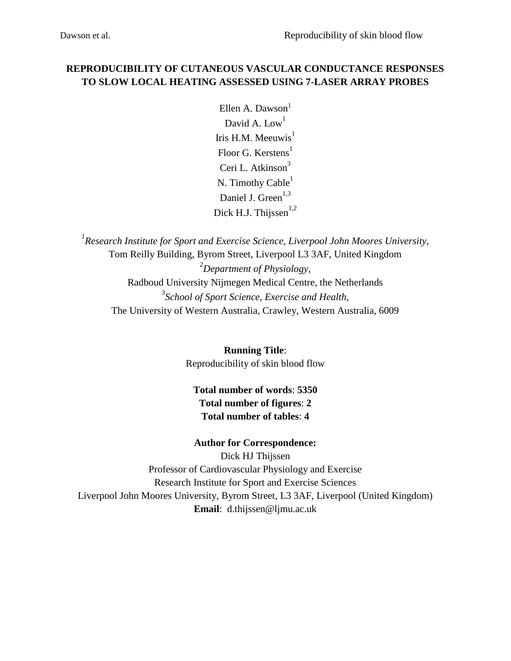# **REPRODUCIBILITY OF CUTANEOUS VASCULAR CONDUCTANCE RESPONSES TO SLOW LOCAL HEATING ASSESSED USING 7-LASER ARRAY PROBES**

Ellen A. Dawson $<sup>1</sup>$ </sup> David A.  $Low<sup>1</sup>$ Iris H.M. Meeuwis $<sup>1</sup>$ </sup> Floor G. Kerstens<sup>1</sup> Ceri L. Atkinson<sup>3</sup> N. Timothy  $Cable<sup>1</sup>$ Daniel J. Green<sup>1,3</sup> Dick H.J. Thiissen $1,2$ 

*1 Research Institute for Sport and Exercise Science, Liverpool John Moores University,*  Tom Reilly Building, Byrom Street, Liverpool L3 3AF, United Kingdom <sup>2</sup>*Department of Physiology*, Radboud University Nijmegen Medical Centre, the Netherlands *3 School of Sport Science, Exercise and Health,* The University of Western Australia, Crawley, Western Australia, 6009

> **Running Title**: Reproducibility of skin blood flow

# **Total number of words**: **5350 Total number of figures**: **2 Total number of tables**: **4**

# **Author for Correspondence:**

Dick HJ Thijssen Professor of Cardiovascular Physiology and Exercise Research Institute for Sport and Exercise Sciences Liverpool John Moores University, Byrom Street, L3 3AF, Liverpool (United Kingdom) **Email**: d.thijssen@ljmu.ac.uk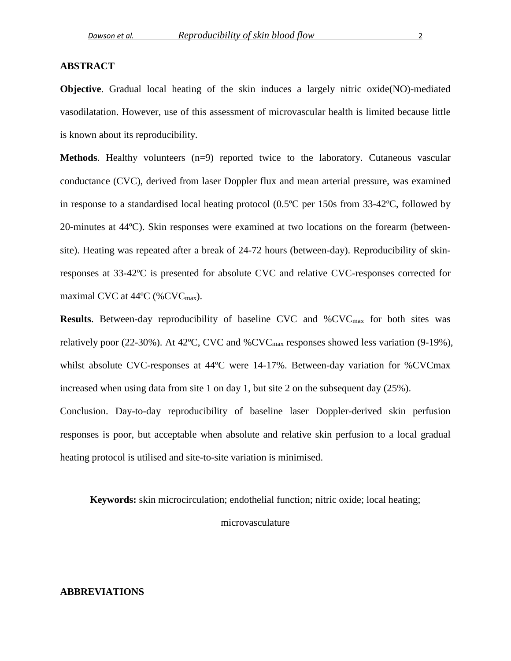#### **ABSTRACT**

**Objective**. Gradual local heating of the skin induces a largely nitric oxide(NO)-mediated vasodilatation. However, use of this assessment of microvascular health is limited because little is known about its reproducibility.

**Methods.** Healthy volunteers (n=9) reported twice to the laboratory. Cutaneous vascular conductance (CVC), derived from laser Doppler flux and mean arterial pressure, was examined in response to a standardised local heating protocol (0.5ºC per 150s from 33-42ºC, followed by 20-minutes at 44ºC). Skin responses were examined at two locations on the forearm (betweensite). Heating was repeated after a break of 24-72 hours (between-day). Reproducibility of skinresponses at 33-42ºC is presented for absolute CVC and relative CVC-responses corrected for maximal CVC at  $44^{\circ}$ C (%CVC<sub>max</sub>).

**Results**. Between-day reproducibility of baseline CVC and %CVC<sub>max</sub> for both sites was relatively poor (22-30%). At 42ºC, CVC and %CVCmax responses showed less variation (9-19%), whilst absolute CVC-responses at 44ºC were 14-17%. Between-day variation for %CVCmax increased when using data from site 1 on day 1, but site 2 on the subsequent day (25%). Conclusion. Day-to-day reproducibility of baseline laser Doppler-derived skin perfusion responses is poor, but acceptable when absolute and relative skin perfusion to a local gradual heating protocol is utilised and site-to-site variation is minimised.

**Keywords:** skin microcirculation; endothelial function; nitric oxide; local heating;

microvasculature

## **ABBREVIATIONS**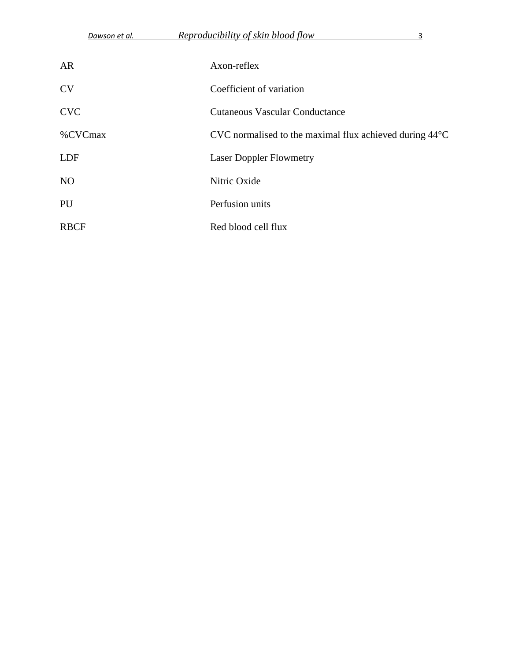| AR             | Axon-reflex                                                       |
|----------------|-------------------------------------------------------------------|
| <b>CV</b>      | Coefficient of variation                                          |
| <b>CVC</b>     | <b>Cutaneous Vascular Conductance</b>                             |
| %CVCmax        | CVC normalised to the maximal flux achieved during $44^{\circ}$ C |
| <b>LDF</b>     | <b>Laser Doppler Flowmetry</b>                                    |
| N <sub>O</sub> | Nitric Oxide                                                      |
| PU             | Perfusion units                                                   |
| <b>RBCF</b>    | Red blood cell flux                                               |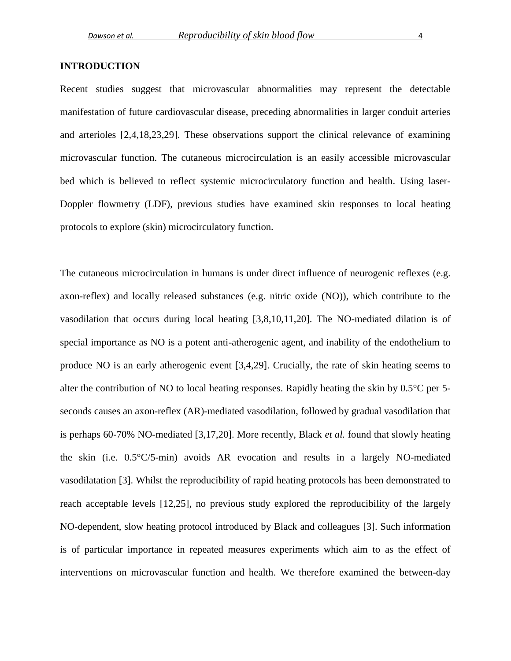#### **INTRODUCTION**

Recent studies suggest that microvascular abnormalities may represent the detectable manifestation of future cardiovascular disease, preceding abnormalities in larger conduit arteries and arterioles [\[2](#page-17-0)[,4](#page-17-1)[,18](#page-18-0)[,23](#page-19-0)[,29\]](#page-19-1). These observations support the clinical relevance of examining microvascular function. The cutaneous microcirculation is an easily accessible microvascular bed which is believed to reflect systemic microcirculatory function and health. Using laser-Doppler flowmetry (LDF), previous studies have examined skin responses to local heating protocols to explore (skin) microcirculatory function.

The cutaneous microcirculation in humans is under direct influence of neurogenic reflexes (e.g. axon-reflex) and locally released substances (e.g. nitric oxide (NO)), which contribute to the vasodilation that occurs during local heating [\[3](#page-17-2)[,8](#page-17-3)[,10](#page-17-4)[,11](#page-17-5)[,20\]](#page-18-1). The NO-mediated dilation is of special importance as NO is a potent anti-atherogenic agent, and inability of the endothelium to produce NO is an early atherogenic event [\[3](#page-17-2)[,4](#page-17-1)[,29\]](#page-19-1). Crucially, the rate of skin heating seems to alter the contribution of NO to local heating responses. Rapidly heating the skin by 0.5°C per 5 seconds causes an axon-reflex (AR)-mediated vasodilation, followed by gradual vasodilation that is perhaps 60-70% NO-mediated [\[3](#page-17-2)[,17](#page-18-2)[,20\]](#page-18-1). More recently, Black *et al.* found that slowly heating the skin (i.e. 0.5°C/5-min) avoids AR evocation and results in a largely NO-mediated vasodilatation [\[3\]](#page-17-2). Whilst the reproducibility of rapid heating protocols has been demonstrated to reach acceptable levels [\[12](#page-18-3)[,25\]](#page-19-2), no previous study explored the reproducibility of the largely NO-dependent, slow heating protocol introduced by Black and colleagues [\[3\]](#page-17-2). Such information is of particular importance in repeated measures experiments which aim to as the effect of interventions on microvascular function and health. We therefore examined the between-day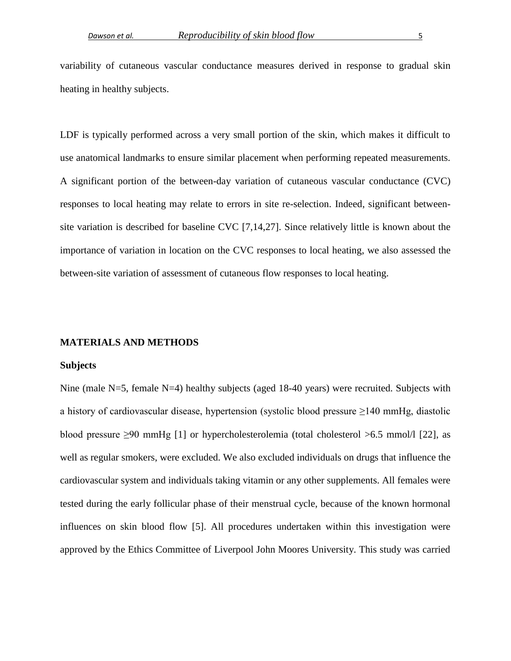variability of cutaneous vascular conductance measures derived in response to gradual skin heating in healthy subjects.

LDF is typically performed across a very small portion of the skin, which makes it difficult to use anatomical landmarks to ensure similar placement when performing repeated measurements. A significant portion of the between-day variation of cutaneous vascular conductance (CVC) responses to local heating may relate to errors in site re-selection. Indeed, significant betweensite variation is described for baseline CVC [\[7](#page-17-6)[,14](#page-18-4)[,27\]](#page-19-3). Since relatively little is known about the importance of variation in location on the CVC responses to local heating, we also assessed the between-site variation of assessment of cutaneous flow responses to local heating.

#### **MATERIALS AND METHODS**

#### **Subjects**

Nine (male N=5, female N=4) healthy subjects (aged 18-40 years) were recruited. Subjects with a history of cardiovascular disease, hypertension (systolic blood pressure ≥140 mmHg, diastolic blood pressure  $\geq 90$  mmHg [\[1\]](#page-17-7) or hypercholesterolemia (total cholesterol  $> 6.5$  mmol/l [\[22\]](#page-18-5), as well as regular smokers, were excluded. We also excluded individuals on drugs that influence the cardiovascular system and individuals taking vitamin or any other supplements. All females were tested during the early follicular phase of their menstrual cycle, because of the known hormonal influences on skin blood flow [\[5\]](#page-17-8). All procedures undertaken within this investigation were approved by the Ethics Committee of Liverpool John Moores University. This study was carried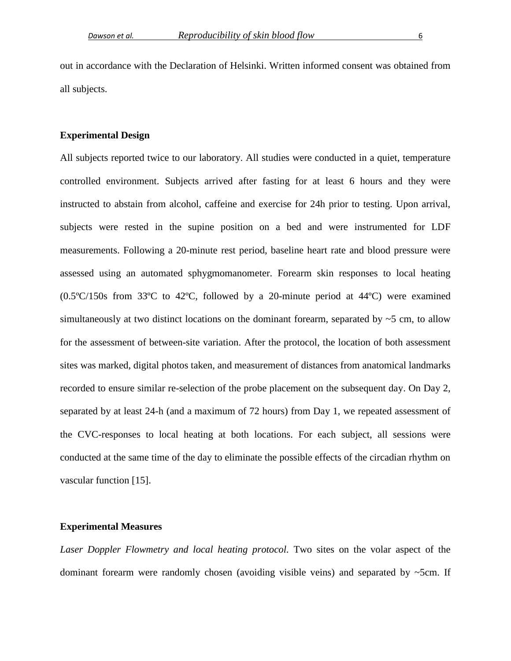out in accordance with the Declaration of Helsinki. Written informed consent was obtained from all subjects.

#### **Experimental Design**

All subjects reported twice to our laboratory. All studies were conducted in a quiet, temperature controlled environment. Subjects arrived after fasting for at least 6 hours and they were instructed to abstain from alcohol, caffeine and exercise for 24h prior to testing. Upon arrival, subjects were rested in the supine position on a bed and were instrumented for LDF measurements. Following a 20-minute rest period, baseline heart rate and blood pressure were assessed using an automated sphygmomanometer. Forearm skin responses to local heating (0.5ºC/150s from 33ºC to 42ºC, followed by a 20-minute period at 44ºC) were examined simultaneously at two distinct locations on the dominant forearm, separated by  $\sim$  5 cm, to allow for the assessment of between-site variation. After the protocol, the location of both assessment sites was marked, digital photos taken, and measurement of distances from anatomical landmarks recorded to ensure similar re-selection of the probe placement on the subsequent day. On Day 2, separated by at least 24-h (and a maximum of 72 hours) from Day 1, we repeated assessment of the CVC-responses to local heating at both locations. For each subject, all sessions were conducted at the same time of the day to eliminate the possible effects of the circadian rhythm on vascular function [\[15\]](#page-18-6).

#### **Experimental Measures**

Laser Doppler Flowmetry and local heating protocol. Two sites on the volar aspect of the dominant forearm were randomly chosen (avoiding visible veins) and separated by ~5cm. If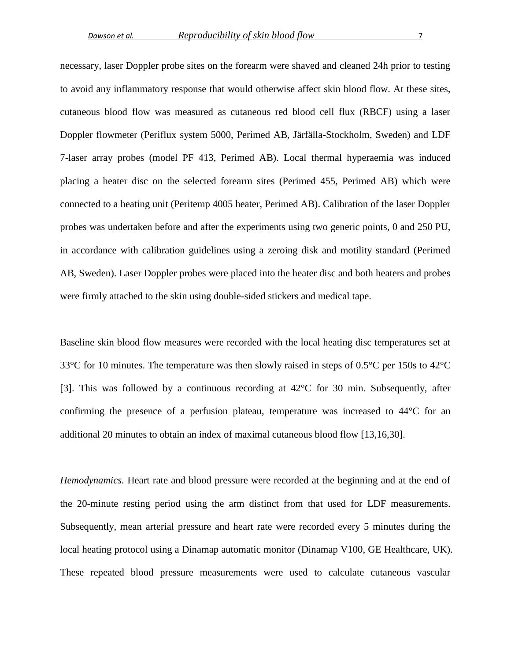necessary, laser Doppler probe sites on the forearm were shaved and cleaned 24h prior to testing to avoid any inflammatory response that would otherwise affect skin blood flow. At these sites, cutaneous blood flow was measured as cutaneous red blood cell flux (RBCF) using a laser Doppler flowmeter (Periflux system 5000, Perimed AB, Järfälla-Stockholm, Sweden) and LDF 7-laser array probes (model PF 413, Perimed AB). Local thermal hyperaemia was induced placing a heater disc on the selected forearm sites (Perimed 455, Perimed AB) which were connected to a heating unit (Peritemp 4005 heater, Perimed AB). Calibration of the laser Doppler probes was undertaken before and after the experiments using two generic points, 0 and 250 PU, in accordance with calibration guidelines using a zeroing disk and motility standard (Perimed AB, Sweden). Laser Doppler probes were placed into the heater disc and both heaters and probes were firmly attached to the skin using double-sided stickers and medical tape.

Baseline skin blood flow measures were recorded with the local heating disc temperatures set at 33°C for 10 minutes. The temperature was then slowly raised in steps of 0.5°C per 150s to 42°C [\[3\]](#page-17-2). This was followed by a continuous recording at 42°C for 30 min. Subsequently, after confirming the presence of a perfusion plateau, temperature was increased to 44°C for an additional 20 minutes to obtain an index of maximal cutaneous blood flow [\[13](#page-18-7)[,16](#page-18-8)[,30\]](#page-19-4).

*Hemodynamics.* Heart rate and blood pressure were recorded at the beginning and at the end of the 20-minute resting period using the arm distinct from that used for LDF measurements. Subsequently, mean arterial pressure and heart rate were recorded every 5 minutes during the local heating protocol using a Dinamap automatic monitor (Dinamap V100, GE Healthcare, UK). These repeated blood pressure measurements were used to calculate cutaneous vascular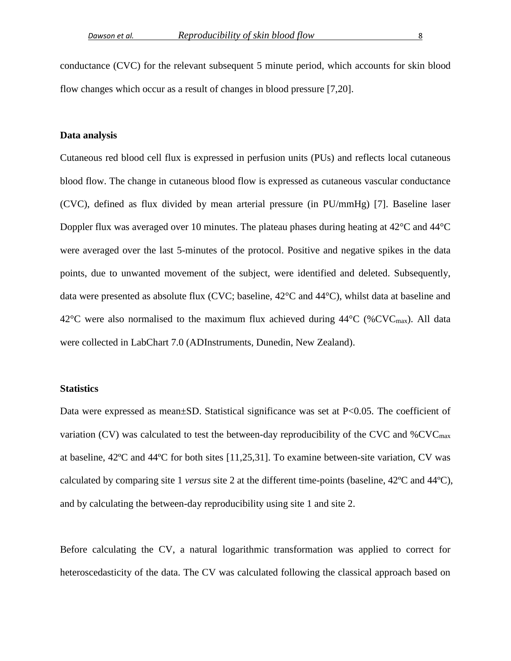conductance (CVC) for the relevant subsequent 5 minute period, which accounts for skin blood flow changes which occur as a result of changes in blood pressure [\[7,](#page-17-6)[20\]](#page-18-1).

#### **Data analysis**

Cutaneous red blood cell flux is expressed in perfusion units (PUs) and reflects local cutaneous blood flow. The change in cutaneous blood flow is expressed as cutaneous vascular conductance (CVC), defined as flux divided by mean arterial pressure (in PU/mmHg) [\[7\]](#page-17-6). Baseline laser Doppler flux was averaged over 10 minutes. The plateau phases during heating at 42°C and 44°C were averaged over the last 5-minutes of the protocol. Positive and negative spikes in the data points, due to unwanted movement of the subject, were identified and deleted. Subsequently, data were presented as absolute flux (CVC; baseline, 42°C and 44°C), whilst data at baseline and 42 $\rm{°C}$  were also normalised to the maximum flux achieved during 44 $\rm{°C}$  (%CVC<sub>max</sub>). All data were collected in LabChart 7.0 (ADInstruments, Dunedin, New Zealand).

#### **Statistics**

Data were expressed as mean±SD. Statistical significance was set at P<0.05. The coefficient of variation (CV) was calculated to test the between-day reproducibility of the CVC and  $%$ CVC<sub>max</sub> at baseline, 42ºC and 44ºC for both sites [\[11,](#page-17-5)[25,](#page-19-2)[31\]](#page-19-5). To examine between-site variation, CV was calculated by comparing site 1 *versus* site 2 at the different time-points (baseline, 42ºC and 44ºC), and by calculating the between-day reproducibility using site 1 and site 2.

Before calculating the CV, a natural logarithmic transformation was applied to correct for heteroscedasticity of the data. The CV was calculated following the classical approach based on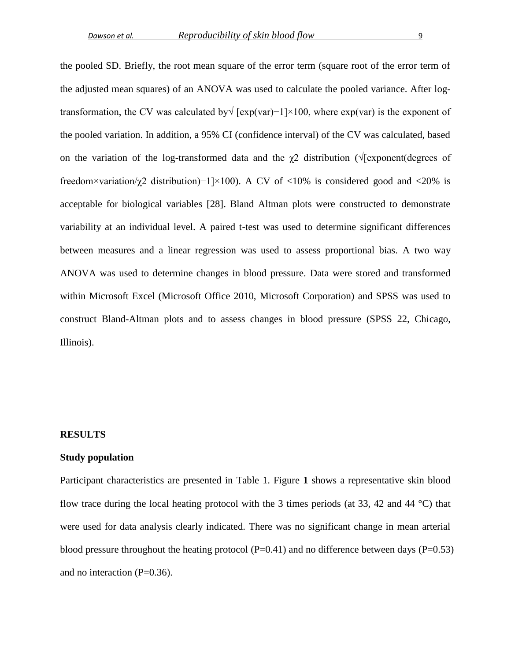the pooled SD. Briefly, the root mean square of the error term (square root of the error term of the adjusted mean squares) of an ANOVA was used to calculate the pooled variance. After logtransformation, the CV was calculated by√ [exp(var)−1]×100, where exp(var) is the exponent of the pooled variation. In addition, a 95% CI (confidence interval) of the CV was calculated, based on the variation of the log-transformed data and the  $\gamma$ 2 distribution ( $\sqrt{\gamma}$ [exponent(degrees of freedom×variation/γ2 distribution)−1]×100). A CV of <10% is considered good and <20% is acceptable for biological variables [\[28\]](#page-19-6). Bland Altman plots were constructed to demonstrate variability at an individual level. A paired t-test was used to determine significant differences between measures and a linear regression was used to assess proportional bias. A two way ANOVA was used to determine changes in blood pressure. Data were stored and transformed within Microsoft Excel (Microsoft Office 2010, Microsoft Corporation) and SPSS was used to construct Bland-Altman plots and to assess changes in blood pressure (SPSS 22, Chicago, Illinois).

#### **RESULTS**

#### **Study population**

Participant characteristics are presented in Table 1. Figure **1** shows a representative skin blood flow trace during the local heating protocol with the 3 times periods (at 33, 42 and 44 °C) that were used for data analysis clearly indicated. There was no significant change in mean arterial blood pressure throughout the heating protocol ( $P=0.41$ ) and no difference between days ( $P=0.53$ ) and no interaction (P=0.36).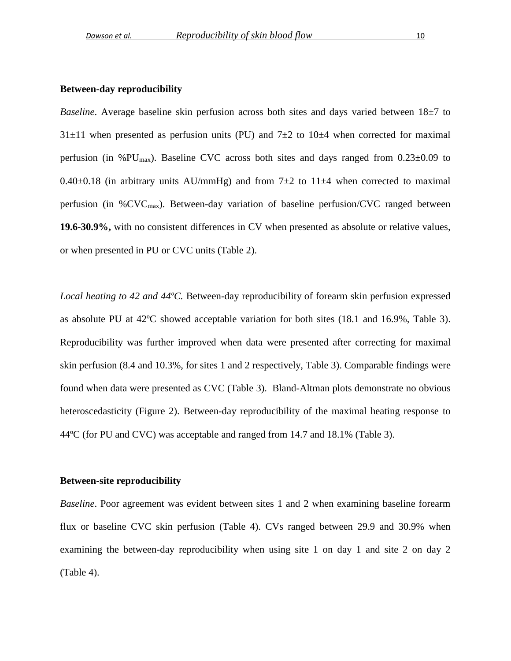#### **Between-day reproducibility**

*Baseline*. Average baseline skin perfusion across both sites and days varied between 18 $\pm$ 7 to  $31\pm11$  when presented as perfusion units (PU) and  $7\pm2$  to  $10\pm4$  when corrected for maximal perfusion (in %PU<sub>max</sub>). Baseline CVC across both sites and days ranged from  $0.23\pm0.09$  to 0.40 $\pm$ 0.18 (in arbitrary units AU/mmHg) and from 7 $\pm$ 2 to 11 $\pm$ 4 when corrected to maximal perfusion (in  $\%$ CVC<sub>max</sub>). Between-day variation of baseline perfusion/CVC ranged between **19.6-30.9%,** with no consistent differences in CV when presented as absolute or relative values, or when presented in PU or CVC units (Table 2).

*Local heating to 42 and 44ºC.* Between-day reproducibility of forearm skin perfusion expressed as absolute PU at 42ºC showed acceptable variation for both sites (18.1 and 16.9%, Table 3). Reproducibility was further improved when data were presented after correcting for maximal skin perfusion (8.4 and 10.3%, for sites 1 and 2 respectively, Table 3). Comparable findings were found when data were presented as CVC (Table 3). Bland-Altman plots demonstrate no obvious heteroscedasticity (Figure 2). Between-day reproducibility of the maximal heating response to 44ºC (for PU and CVC) was acceptable and ranged from 14.7 and 18.1% (Table 3).

#### **Between-site reproducibility**

*Baseline*. Poor agreement was evident between sites 1 and 2 when examining baseline forearm flux or baseline CVC skin perfusion (Table 4). CVs ranged between 29.9 and 30.9% when examining the between-day reproducibility when using site 1 on day 1 and site 2 on day 2 (Table 4).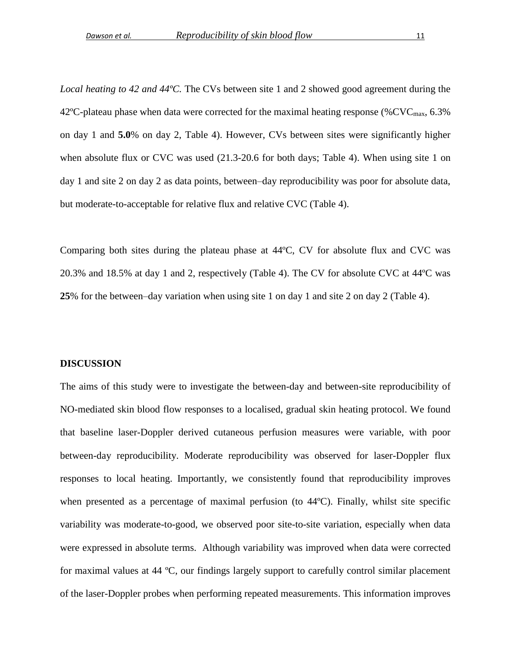*Local heating to 42 and 44ºC.* The CVs between site 1 and 2 showed good agreement during the 42°C-plateau phase when data were corrected for the maximal heating response (%CVC<sub>max</sub>, 6.3%) on day 1 and **5.0**% on day 2, Table 4). However, CVs between sites were significantly higher when absolute flux or CVC was used (21.3-20.6 for both days; Table 4). When using site 1 on day 1 and site 2 on day 2 as data points, between–day reproducibility was poor for absolute data, but moderate-to-acceptable for relative flux and relative CVC (Table 4).

Comparing both sites during the plateau phase at 44ºC, CV for absolute flux and CVC was 20.3% and 18.5% at day 1 and 2, respectively (Table 4). The CV for absolute CVC at 44ºC was **25**% for the between–day variation when using site 1 on day 1 and site 2 on day 2 (Table 4).

#### **DISCUSSION**

The aims of this study were to investigate the between-day and between-site reproducibility of NO-mediated skin blood flow responses to a localised, gradual skin heating protocol. We found that baseline laser-Doppler derived cutaneous perfusion measures were variable, with poor between-day reproducibility. Moderate reproducibility was observed for laser-Doppler flux responses to local heating. Importantly, we consistently found that reproducibility improves when presented as a percentage of maximal perfusion (to 44ºC). Finally, whilst site specific variability was moderate-to-good, we observed poor site-to-site variation, especially when data were expressed in absolute terms. Although variability was improved when data were corrected for maximal values at 44 ºC, our findings largely support to carefully control similar placement of the laser-Doppler probes when performing repeated measurements. This information improves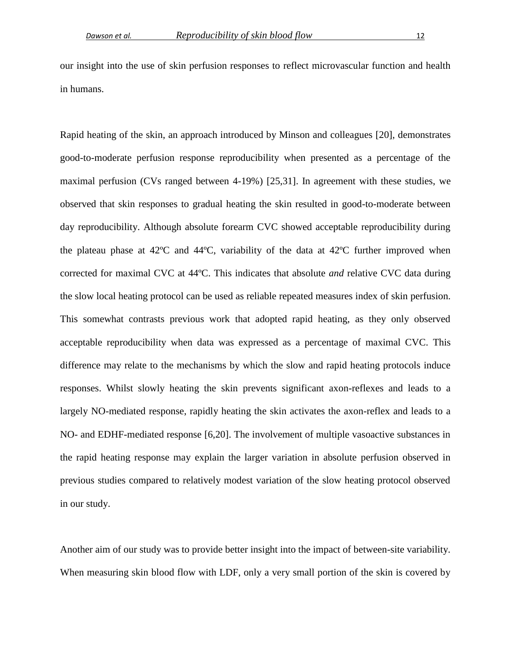our insight into the use of skin perfusion responses to reflect microvascular function and health in humans.

Rapid heating of the skin, an approach introduced by Minson and colleagues [\[20\]](#page-18-1), demonstrates good-to-moderate perfusion response reproducibility when presented as a percentage of the maximal perfusion (CVs ranged between 4-19%) [\[25](#page-19-2)[,31\]](#page-19-5). In agreement with these studies, we observed that skin responses to gradual heating the skin resulted in good-to-moderate between day reproducibility. Although absolute forearm CVC showed acceptable reproducibility during the plateau phase at 42ºC and 44ºC, variability of the data at 42ºC further improved when corrected for maximal CVC at 44ºC. This indicates that absolute *and* relative CVC data during the slow local heating protocol can be used as reliable repeated measures index of skin perfusion. This somewhat contrasts previous work that adopted rapid heating, as they only observed acceptable reproducibility when data was expressed as a percentage of maximal CVC. This difference may relate to the mechanisms by which the slow and rapid heating protocols induce responses. Whilst slowly heating the skin prevents significant axon-reflexes and leads to a largely NO-mediated response, rapidly heating the skin activates the axon-reflex and leads to a NO- and EDHF-mediated response [\[6](#page-17-9)[,20\]](#page-18-1). The involvement of multiple vasoactive substances in the rapid heating response may explain the larger variation in absolute perfusion observed in previous studies compared to relatively modest variation of the slow heating protocol observed in our study.

Another aim of our study was to provide better insight into the impact of between-site variability. When measuring skin blood flow with LDF, only a very small portion of the skin is covered by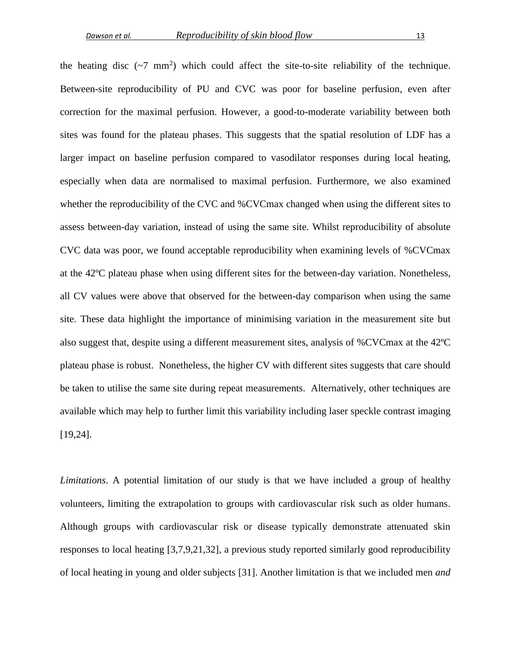the heating disc  $({\sim}7 \text{ mm}^2)$  which could affect the site-to-site reliability of the technique. Between-site reproducibility of PU and CVC was poor for baseline perfusion, even after correction for the maximal perfusion. However, a good-to-moderate variability between both sites was found for the plateau phases. This suggests that the spatial resolution of LDF has a larger impact on baseline perfusion compared to vasodilator responses during local heating, especially when data are normalised to maximal perfusion. Furthermore, we also examined whether the reproducibility of the CVC and %CVCmax changed when using the different sites to assess between-day variation, instead of using the same site. Whilst reproducibility of absolute CVC data was poor, we found acceptable reproducibility when examining levels of %CVCmax at the 42ºC plateau phase when using different sites for the between-day variation. Nonetheless, all CV values were above that observed for the between-day comparison when using the same site. These data highlight the importance of minimising variation in the measurement site but also suggest that, despite using a different measurement sites, analysis of %CVCmax at the 42ºC plateau phase is robust. Nonetheless, the higher CV with different sites suggests that care should be taken to utilise the same site during repeat measurements. Alternatively, other techniques are available which may help to further limit this variability including laser speckle contrast imaging [\[19](#page-18-9)[,24\]](#page-19-7).

*Limitations*. A potential limitation of our study is that we have included a group of healthy volunteers, limiting the extrapolation to groups with cardiovascular risk such as older humans. Although groups with cardiovascular risk or disease typically demonstrate attenuated skin responses to local heating [\[3,](#page-17-2)[7,](#page-17-6)[9,](#page-17-10)[21,](#page-18-10)[32\]](#page-20-0), a previous study reported similarly good reproducibility of local heating in young and older subjects [\[31\]](#page-19-5). Another limitation is that we included men *and*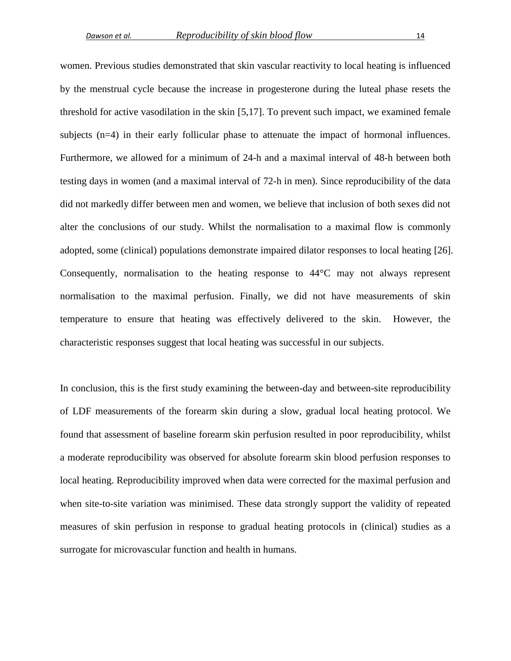women. Previous studies demonstrated that skin vascular reactivity to local heating is influenced by the menstrual cycle because the increase in progesterone during the luteal phase resets the threshold for active vasodilation in the skin [\[5](#page-17-8)[,17\]](#page-18-2). To prevent such impact, we examined female subjects (n=4) in their early follicular phase to attenuate the impact of hormonal influences. Furthermore, we allowed for a minimum of 24-h and a maximal interval of 48-h between both testing days in women (and a maximal interval of 72-h in men). Since reproducibility of the data did not markedly differ between men and women, we believe that inclusion of both sexes did not alter the conclusions of our study. Whilst the normalisation to a maximal flow is commonly adopted, some (clinical) populations demonstrate impaired dilator responses to local heating [\[26\]](#page-19-8). Consequently, normalisation to the heating response to 44°C may not always represent normalisation to the maximal perfusion. Finally, we did not have measurements of skin temperature to ensure that heating was effectively delivered to the skin. However, the characteristic responses suggest that local heating was successful in our subjects.

In conclusion, this is the first study examining the between-day and between-site reproducibility of LDF measurements of the forearm skin during a slow, gradual local heating protocol. We found that assessment of baseline forearm skin perfusion resulted in poor reproducibility, whilst a moderate reproducibility was observed for absolute forearm skin blood perfusion responses to local heating. Reproducibility improved when data were corrected for the maximal perfusion and when site-to-site variation was minimised. These data strongly support the validity of repeated measures of skin perfusion in response to gradual heating protocols in (clinical) studies as a surrogate for microvascular function and health in humans.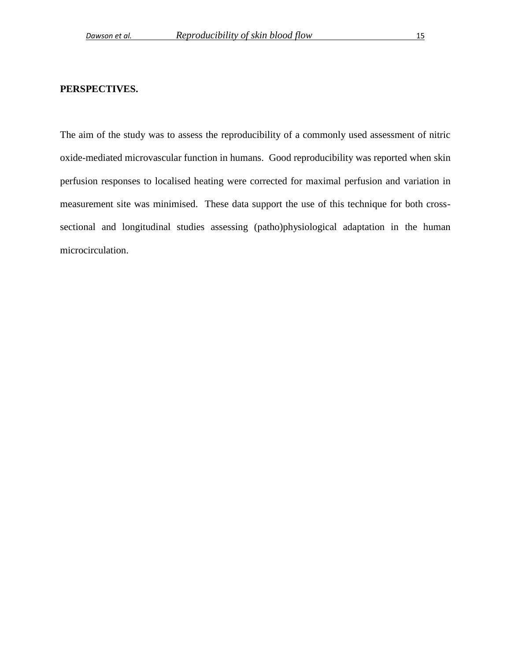## **PERSPECTIVES.**

The aim of the study was to assess the reproducibility of a commonly used assessment of nitric oxide-mediated microvascular function in humans. Good reproducibility was reported when skin perfusion responses to localised heating were corrected for maximal perfusion and variation in measurement site was minimised. These data support the use of this technique for both crosssectional and longitudinal studies assessing (patho)physiological adaptation in the human microcirculation.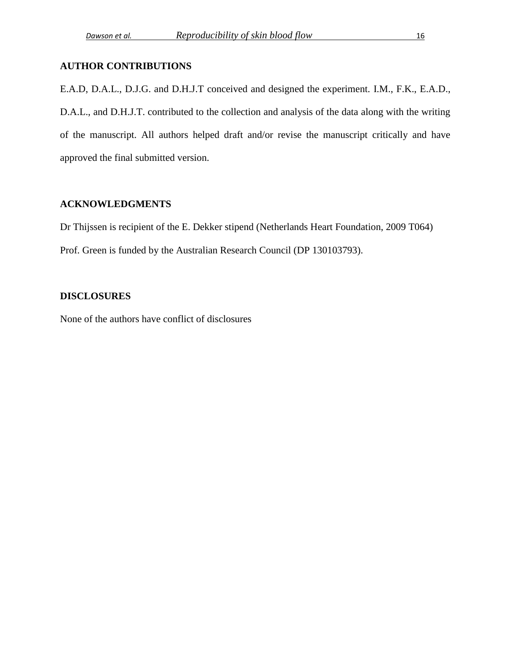# **AUTHOR CONTRIBUTIONS**

E.A.D, D.A.L., D.J.G. and D.H.J.T conceived and designed the experiment. I.M., F.K., E.A.D., D.A.L., and D.H.J.T. contributed to the collection and analysis of the data along with the writing of the manuscript. All authors helped draft and/or revise the manuscript critically and have approved the final submitted version.

#### **ACKNOWLEDGMENTS**

Dr Thijssen is recipient of the E. Dekker stipend (Netherlands Heart Foundation, 2009 T064) Prof. Green is funded by the Australian Research Council (DP 130103793).

### **DISCLOSURES**

None of the authors have conflict of disclosures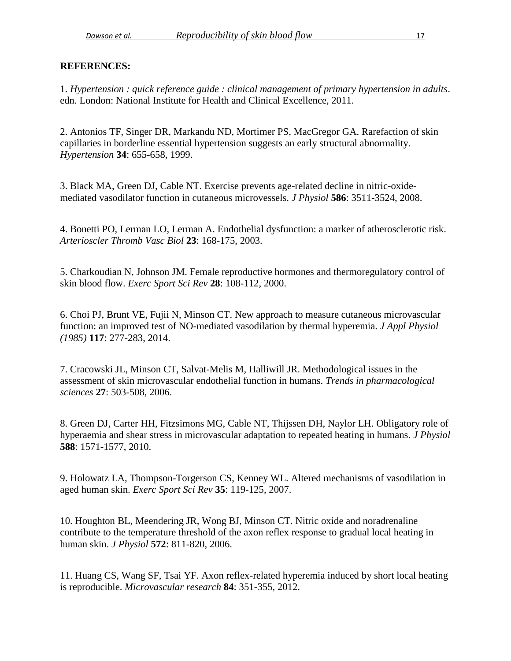#### **REFERENCES:**

<span id="page-17-7"></span>1. *Hypertension : quick reference guide : clinical management of primary hypertension in adults*. edn. London: National Institute for Health and Clinical Excellence, 2011.

<span id="page-17-0"></span>2. Antonios TF, Singer DR, Markandu ND, Mortimer PS, MacGregor GA. Rarefaction of skin capillaries in borderline essential hypertension suggests an early structural abnormality. *Hypertension* **34**: 655-658, 1999.

<span id="page-17-2"></span>3. Black MA, Green DJ, Cable NT. Exercise prevents age-related decline in nitric-oxidemediated vasodilator function in cutaneous microvessels. *J Physiol* **586**: 3511-3524, 2008.

<span id="page-17-1"></span>4. Bonetti PO, Lerman LO, Lerman A. Endothelial dysfunction: a marker of atherosclerotic risk. *Arterioscler Thromb Vasc Biol* **23**: 168-175, 2003.

<span id="page-17-8"></span>5. Charkoudian N, Johnson JM. Female reproductive hormones and thermoregulatory control of skin blood flow. *Exerc Sport Sci Rev* **28**: 108-112, 2000.

<span id="page-17-9"></span>6. Choi PJ, Brunt VE, Fujii N, Minson CT. New approach to measure cutaneous microvascular function: an improved test of NO-mediated vasodilation by thermal hyperemia. *J Appl Physiol (1985)* **117**: 277-283, 2014.

<span id="page-17-6"></span>7. Cracowski JL, Minson CT, Salvat-Melis M, Halliwill JR. Methodological issues in the assessment of skin microvascular endothelial function in humans. *Trends in pharmacological sciences* **27**: 503-508, 2006.

<span id="page-17-3"></span>8. Green DJ, Carter HH, Fitzsimons MG, Cable NT, Thijssen DH, Naylor LH. Obligatory role of hyperaemia and shear stress in microvascular adaptation to repeated heating in humans. *J Physiol* **588**: 1571-1577, 2010.

<span id="page-17-10"></span>9. Holowatz LA, Thompson-Torgerson CS, Kenney WL. Altered mechanisms of vasodilation in aged human skin. *Exerc Sport Sci Rev* **35**: 119-125, 2007.

<span id="page-17-4"></span>10. Houghton BL, Meendering JR, Wong BJ, Minson CT. Nitric oxide and noradrenaline contribute to the temperature threshold of the axon reflex response to gradual local heating in human skin. *J Physiol* **572**: 811-820, 2006.

<span id="page-17-5"></span>11. Huang CS, Wang SF, Tsai YF. Axon reflex-related hyperemia induced by short local heating is reproducible. *Microvascular research* **84**: 351-355, 2012.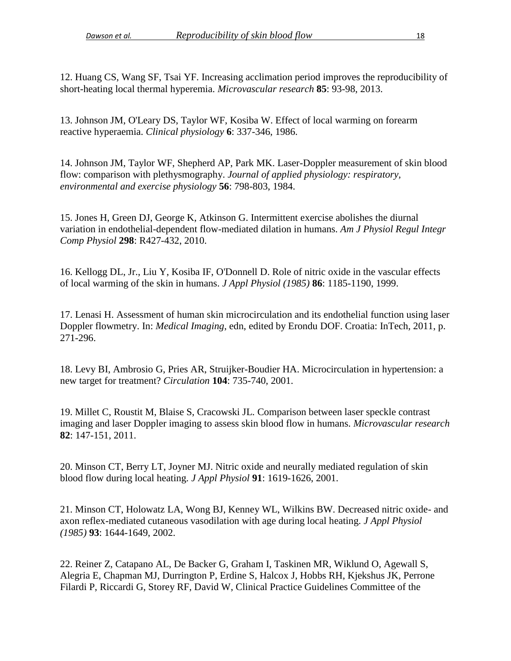<span id="page-18-3"></span>12. Huang CS, Wang SF, Tsai YF. Increasing acclimation period improves the reproducibility of short-heating local thermal hyperemia. *Microvascular research* **85**: 93-98, 2013.

<span id="page-18-7"></span>13. Johnson JM, O'Leary DS, Taylor WF, Kosiba W. Effect of local warming on forearm reactive hyperaemia. *Clinical physiology* **6**: 337-346, 1986.

<span id="page-18-4"></span>14. Johnson JM, Taylor WF, Shepherd AP, Park MK. Laser-Doppler measurement of skin blood flow: comparison with plethysmography. *Journal of applied physiology: respiratory, environmental and exercise physiology* **56**: 798-803, 1984.

<span id="page-18-6"></span>15. Jones H, Green DJ, George K, Atkinson G. Intermittent exercise abolishes the diurnal variation in endothelial-dependent flow-mediated dilation in humans. *Am J Physiol Regul Integr Comp Physiol* **298**: R427-432, 2010.

<span id="page-18-8"></span>16. Kellogg DL, Jr., Liu Y, Kosiba IF, O'Donnell D. Role of nitric oxide in the vascular effects of local warming of the skin in humans. *J Appl Physiol (1985)* **86**: 1185-1190, 1999.

<span id="page-18-2"></span>17. Lenasi H. Assessment of human skin microcirculation and its endothelial function using laser Doppler flowmetry. In: *Medical Imaging*, edn, edited by Erondu DOF. Croatia: InTech, 2011, p. 271-296.

<span id="page-18-0"></span>18. Levy BI, Ambrosio G, Pries AR, Struijker-Boudier HA. Microcirculation in hypertension: a new target for treatment? *Circulation* **104**: 735-740, 2001.

<span id="page-18-9"></span>19. Millet C, Roustit M, Blaise S, Cracowski JL. Comparison between laser speckle contrast imaging and laser Doppler imaging to assess skin blood flow in humans. *Microvascular research* **82**: 147-151, 2011.

<span id="page-18-1"></span>20. Minson CT, Berry LT, Joyner MJ. Nitric oxide and neurally mediated regulation of skin blood flow during local heating. *J Appl Physiol* **91**: 1619-1626, 2001.

<span id="page-18-10"></span>21. Minson CT, Holowatz LA, Wong BJ, Kenney WL, Wilkins BW. Decreased nitric oxide- and axon reflex-mediated cutaneous vasodilation with age during local heating. *J Appl Physiol (1985)* **93**: 1644-1649, 2002.

<span id="page-18-5"></span>22. Reiner Z, Catapano AL, De Backer G, Graham I, Taskinen MR, Wiklund O, Agewall S, Alegria E, Chapman MJ, Durrington P, Erdine S, Halcox J, Hobbs RH, Kjekshus JK, Perrone Filardi P, Riccardi G, Storey RF, David W, Clinical Practice Guidelines Committee of the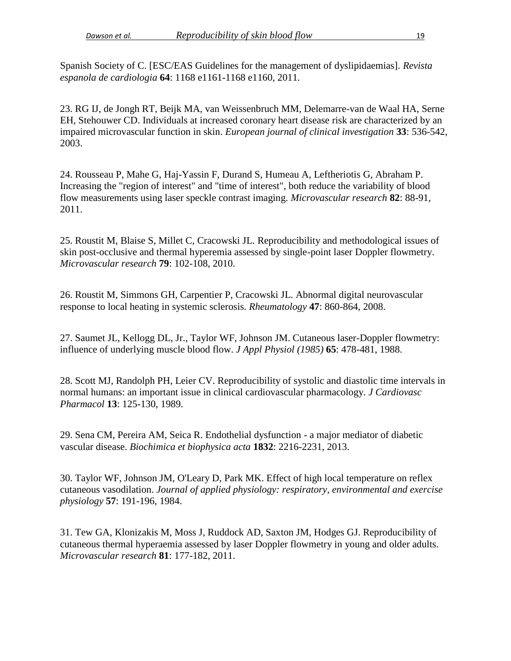Spanish Society of C. [ESC/EAS Guidelines for the management of dyslipidaemias]. *Revista espanola de cardiologia* **64**: 1168 e1161-1168 e1160, 2011.

<span id="page-19-0"></span>23. RG IJ, de Jongh RT, Beijk MA, van Weissenbruch MM, Delemarre-van de Waal HA, Serne EH, Stehouwer CD. Individuals at increased coronary heart disease risk are characterized by an impaired microvascular function in skin. *European journal of clinical investigation* **33**: 536-542, 2003.

<span id="page-19-7"></span>24. Rousseau P, Mahe G, Haj-Yassin F, Durand S, Humeau A, Leftheriotis G, Abraham P. Increasing the "region of interest" and "time of interest", both reduce the variability of blood flow measurements using laser speckle contrast imaging. *Microvascular research* **82**: 88-91, 2011.

<span id="page-19-2"></span>25. Roustit M, Blaise S, Millet C, Cracowski JL. Reproducibility and methodological issues of skin post-occlusive and thermal hyperemia assessed by single-point laser Doppler flowmetry. *Microvascular research* **79**: 102-108, 2010.

<span id="page-19-8"></span>26. Roustit M, Simmons GH, Carpentier P, Cracowski JL. Abnormal digital neurovascular response to local heating in systemic sclerosis. *Rheumatology* **47**: 860-864, 2008.

<span id="page-19-3"></span>27. Saumet JL, Kellogg DL, Jr., Taylor WF, Johnson JM. Cutaneous laser-Doppler flowmetry: influence of underlying muscle blood flow. *J Appl Physiol (1985)* **65**: 478-481, 1988.

<span id="page-19-6"></span>28. Scott MJ, Randolph PH, Leier CV. Reproducibility of systolic and diastolic time intervals in normal humans: an important issue in clinical cardiovascular pharmacology. *J Cardiovasc Pharmacol* **13**: 125-130, 1989.

<span id="page-19-1"></span>29. Sena CM, Pereira AM, Seica R. Endothelial dysfunction - a major mediator of diabetic vascular disease. *Biochimica et biophysica acta* **1832**: 2216-2231, 2013.

<span id="page-19-4"></span>30. Taylor WF, Johnson JM, O'Leary D, Park MK. Effect of high local temperature on reflex cutaneous vasodilation. *Journal of applied physiology: respiratory, environmental and exercise physiology* **57**: 191-196, 1984.

<span id="page-19-5"></span>31. Tew GA, Klonizakis M, Moss J, Ruddock AD, Saxton JM, Hodges GJ. Reproducibility of cutaneous thermal hyperaemia assessed by laser Doppler flowmetry in young and older adults. *Microvascular research* **81**: 177-182, 2011.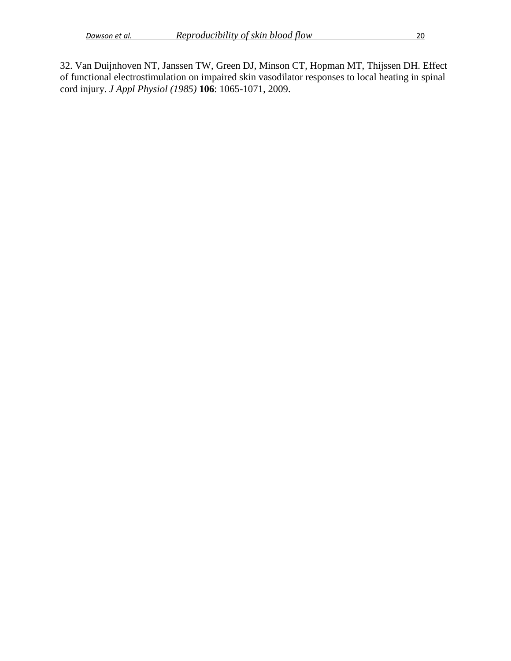<span id="page-20-0"></span>32. Van Duijnhoven NT, Janssen TW, Green DJ, Minson CT, Hopman MT, Thijssen DH. Effect of functional electrostimulation on impaired skin vasodilator responses to local heating in spinal cord injury. *J Appl Physiol (1985)* **106**: 1065-1071, 2009.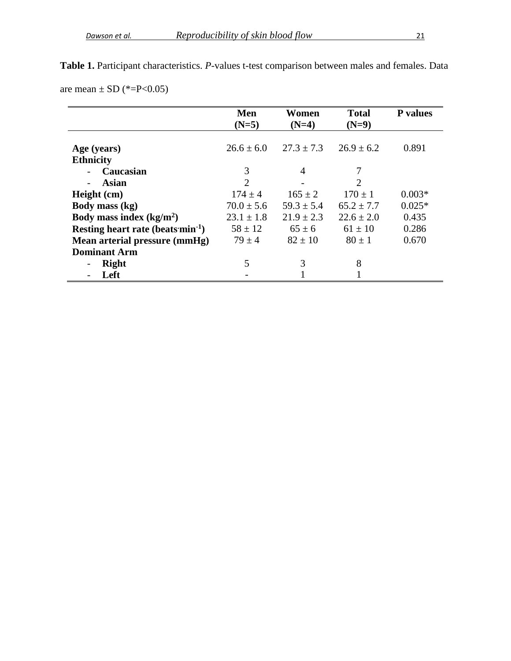|                                               | Men<br>$(N=5)$ | Women<br>$(N=4)$ | <b>Total</b><br>$(N=9)$     | <b>P</b> values |
|-----------------------------------------------|----------------|------------------|-----------------------------|-----------------|
| Age (years)                                   | $26.6 \pm 6.0$ | $27.3 \pm 7.3$   | $26.9 \pm 6.2$              | 0.891           |
| <b>Ethnicity</b>                              |                |                  |                             |                 |
| Caucasian                                     | 3              | 4                | 7                           |                 |
| Asian                                         | $\overline{2}$ |                  | $\mathcal{D}_{\mathcal{L}}$ |                 |
| Height (cm)                                   | $174 \pm 4$    | $165 \pm 2$      | $170 \pm 1$                 | $0.003*$        |
| Body mass (kg)                                | $70.0 \pm 5.6$ | $59.3 \pm 5.4$   | $65.2 \pm 7.7$              | $0.025*$        |
| Body mass index $(kg/m2)$                     | $23.1 \pm 1.8$ | $21.9 \pm 2.3$   | $22.6 \pm 2.0$              | 0.435           |
| Resting heart rate (beats min <sup>-1</sup> ) | $58 \pm 12$    | $65 \pm 6$       | $61 \pm 10$                 | 0.286           |
| Mean arterial pressure (mmHg)                 | $79 \pm 4$     | $82 \pm 10$      | $80 \pm 1$                  | 0.670           |
| <b>Dominant Arm</b>                           |                |                  |                             |                 |
| <b>Right</b>                                  | 5              | 3                | 8                           |                 |
| Left                                          |                |                  |                             |                 |

**Table 1.** Participant characteristics. *P-*values t-test comparison between males and females. Data are mean  $\pm$  SD (\*=P<0.05)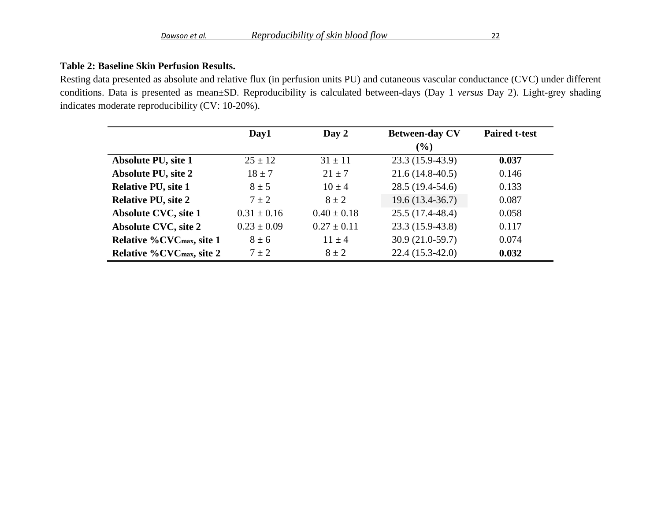# **Table 2: Baseline Skin Perfusion Results.**

Resting data presented as absolute and relative flux (in perfusion units PU) and cutaneous vascular conductance (CVC) under different conditions. Data is presented as mean±SD. Reproducibility is calculated between-days (Day 1 *versus* Day 2). Light-grey shading indicates moderate reproducibility (CV: 10-20%).

|                                              | Day1            | Day 2           | <b>Between-day CV</b> | <b>Paired t-test</b> |
|----------------------------------------------|-----------------|-----------------|-----------------------|----------------------|
|                                              |                 |                 | (%)                   |                      |
| <b>Absolute PU, site 1</b>                   | $25 \pm 12$     | $31 \pm 11$     | $23.3(15.9-43.9)$     | 0.037                |
| <b>Absolute PU, site 2</b>                   | $18 \pm 7$      | $21 \pm 7$      | $21.6(14.8-40.5)$     | 0.146                |
| <b>Relative PU, site 1</b>                   | $8 \pm 5$       | $10 \pm 4$      | $28.5(19.4-54.6)$     | 0.133                |
| <b>Relative PU, site 2</b>                   | $7 \pm 2$       | $8 \pm 2$       | $19.6(13.4-36.7)$     | 0.087                |
| <b>Absolute CVC, site 1</b>                  | $0.31 \pm 0.16$ | $0.40 \pm 0.18$ | $25.5(17.4-48.4)$     | 0.058                |
| <b>Absolute CVC, site 2</b>                  | $0.23 \pm 0.09$ | $0.27 \pm 0.11$ | $23.3(15.9-43.8)$     | 0.117                |
| <b>Relative %CVCmax, site 1</b>              | $8 \pm 6$       | $11 \pm 4$      | $30.9(21.0-59.7)$     | 0.074                |
| <b>Relative %CVC</b> <sub>max</sub> , site 2 | $7 \pm 2$       | $8 \pm 2$       | $22.4(15.3-42.0)$     | 0.032                |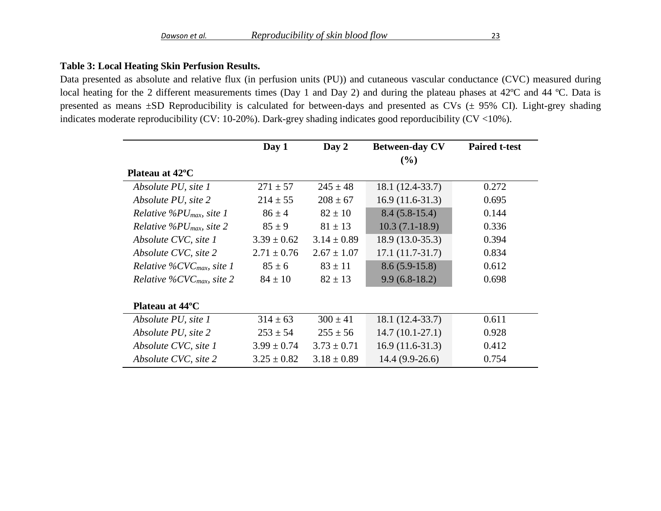## **Table 3: Local Heating Skin Perfusion Results.**

Data presented as absolute and relative flux (in perfusion units (PU)) and cutaneous vascular conductance (CVC) measured during local heating for the 2 different measurements times (Day 1 and Day 2) and during the plateau phases at 42°C and 44 °C. Data is presented as means  $\pm SD$  Reproducibility is calculated for between-days and presented as CVs ( $\pm$  95% CI). Light-grey shading indicates moderate reproducibility (CV: 10-20%). Dark-grey shading indicates good reporducibility (CV <10%).

|                                            | Day 1           | Day 2           | <b>Between-day CV</b> | <b>Paired t-test</b> |
|--------------------------------------------|-----------------|-----------------|-----------------------|----------------------|
|                                            |                 |                 | (%)                   |                      |
| Plateau at 42 <sup>o</sup> C               |                 |                 |                       |                      |
| Absolute PU, site 1                        | $271 \pm 57$    | $245 \pm 48$    | 18.1 (12.4-33.7)      | 0.272                |
| Absolute PU, site 2                        | $214 \pm 55$    | $208 \pm 67$    | $16.9(11.6-31.3)$     | 0.695                |
| Relative %PU <sub>max</sub> , site 1       | $86 \pm 4$      | $82 \pm 10$     | $8.4(5.8-15.4)$       | 0.144                |
| <i>Relative</i> % $PU_{max}$ , site 2      | $85 \pm 9$      | $81 \pm 13$     | $10.3(7.1-18.9)$      | 0.336                |
| Absolute CVC, site 1                       | $3.39 \pm 0.62$ | $3.14 \pm 0.89$ | $18.9(13.0-35.3)$     | 0.394                |
| Absolute CVC, site 2                       | $2.71 \pm 0.76$ | $2.67 \pm 1.07$ | $17.1(11.7-31.7)$     | 0.834                |
| Relative $\%$ CVC <sub>max</sub> , site 1  | $85 \pm 6$      | $83 \pm 11$     | $8.6(5.9-15.8)$       | 0.612                |
| <i>Relative %CVC<sub>max</sub>, site 2</i> | $84 \pm 10$     | $82 \pm 13$     | $9.9(6.8-18.2)$       | 0.698                |
|                                            |                 |                 |                       |                      |
| Plateau at 44 <sup>o</sup> C               |                 |                 |                       |                      |
| Absolute PU, site 1                        | $314 \pm 63$    | $300 \pm 41$    | 18.1 (12.4-33.7)      | 0.611                |
| Absolute PU, site 2                        | $253 \pm 54$    | $255 \pm 56$    | $14.7(10.1-27.1)$     | 0.928                |
| Absolute CVC, site 1                       | $3.99 \pm 0.74$ | $3.73 \pm 0.71$ | $16.9(11.6-31.3)$     | 0.412                |
| Absolute CVC, site 2                       | $3.25 \pm 0.82$ | $3.18 \pm 0.89$ | $14.4(9.9-26.6)$      | 0.754                |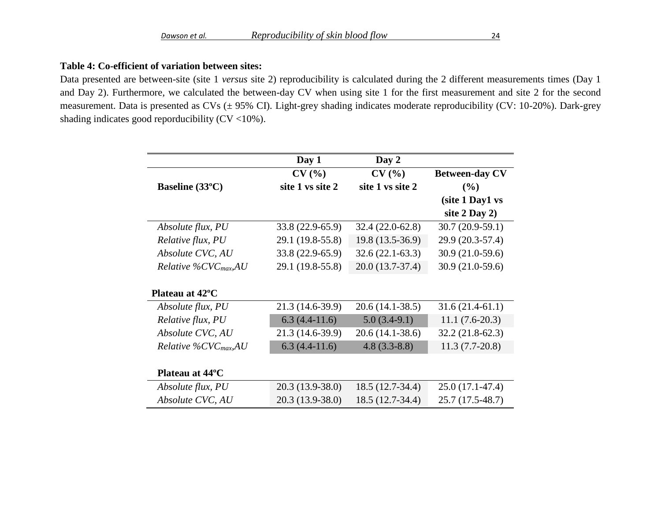# **Table 4: Co-efficient of variation between sites:**

Data presented are between-site (site 1 *versus* site 2) reproducibility is calculated during the 2 different measurements times (Day 1 and Day 2). Furthermore, we calculated the between-day CV when using site 1 for the first measurement and site 2 for the second measurement. Data is presented as CVs (± 95% CI). Light-grey shading indicates moderate reproducibility (CV: 10-20%). Dark-grey shading indicates good reporducibility  $(CV < 10\%)$ .

|                                   | Day 1             | Day 2             |                       |
|-----------------------------------|-------------------|-------------------|-----------------------|
|                                   | CV(%)             | CV(%)             | <b>Between-day CV</b> |
| Baseline (33°C)                   | site 1 vs site 2  | site 1 vs site 2  | $($ %)                |
|                                   |                   |                   | (site 1 Day1 vs       |
|                                   |                   |                   | site $2$ Day $2)$     |
| Absolute flux, PU                 | $33.8(22.9-65.9)$ | 32.4 (22.0-62.8)  | $30.7(20.9-59.1)$     |
| Relative flux, PU                 | 29.1 (19.8-55.8)  | 19.8 (13.5-36.9)  | 29.9 (20.3-57.4)      |
| Absolute CVC, AU                  | 33.8 (22.9-65.9)  | $32.6(22.1-63.3)$ | $30.9(21.0-59.6)$     |
| Relative %CVC $_{max}$ AU         | 29.1 (19.8-55.8)  | 20.0 (13.7-37.4)  | $30.9(21.0-59.6)$     |
|                                   |                   |                   |                       |
| Plateau at 42°C                   |                   |                   |                       |
| Absolute flux, PU                 | 21.3 (14.6-39.9)  | $20.6(14.1-38.5)$ | $31.6(21.4-61.1)$     |
| Relative flux, PU                 | $6.3(4.4-11.6)$   | $5.0(3.4-9.1)$    | $11.1(7.6-20.3)$      |
| Absolute CVC, AU                  | 21.3 (14.6-39.9)  | $20.6(14.1-38.6)$ | $32.2(21.8-62.3)$     |
| Relative %CVC <sub>max</sub> , AU | $6.3(4.4-11.6)$   | $4.8(3.3-8.8)$    | $11.3(7.7-20.8)$      |
|                                   |                   |                   |                       |
| Plateau at 44 <sup>o</sup> C      |                   |                   |                       |
| Absolute flux, PU                 | $20.3(13.9-38.0)$ | 18.5 (12.7-34.4)  | $25.0(17.1-47.4)$     |
| Absolute CVC, AU                  | 20.3 (13.9-38.0)  | 18.5 (12.7-34.4)  | 25.7 (17.5-48.7)      |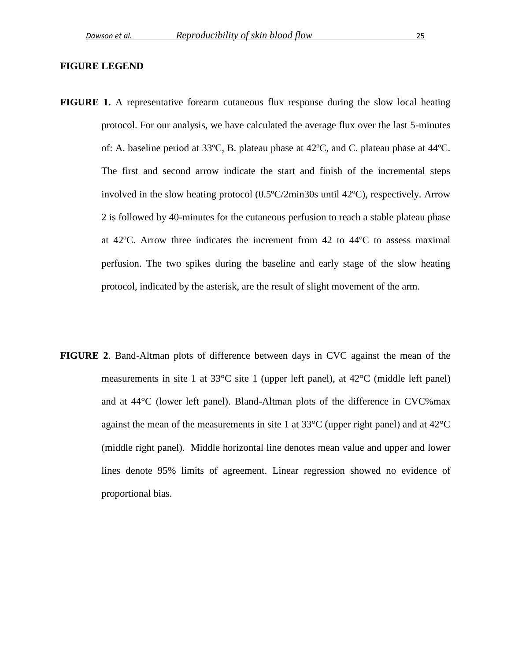#### **FIGURE LEGEND**

- **FIGURE 1.** A representative forearm cutaneous flux response during the slow local heating protocol. For our analysis, we have calculated the average flux over the last 5-minutes of: A. baseline period at 33ºC, B. plateau phase at 42ºC, and C. plateau phase at 44ºC. The first and second arrow indicate the start and finish of the incremental steps involved in the slow heating protocol (0.5ºC/2min30s until 42ºC), respectively. Arrow 2 is followed by 40-minutes for the cutaneous perfusion to reach a stable plateau phase at 42ºC. Arrow three indicates the increment from 42 to 44ºC to assess maximal perfusion. The two spikes during the baseline and early stage of the slow heating protocol, indicated by the asterisk, are the result of slight movement of the arm.
- **FIGURE 2**. Band-Altman plots of difference between days in CVC against the mean of the measurements in site 1 at 33°C site 1 (upper left panel), at 42°C (middle left panel) and at 44°C (lower left panel). Bland-Altman plots of the difference in CVC%max against the mean of the measurements in site 1 at  $33^{\circ}$ C (upper right panel) and at  $42^{\circ}$ C (middle right panel). Middle horizontal line denotes mean value and upper and lower lines denote 95% limits of agreement. Linear regression showed no evidence of proportional bias.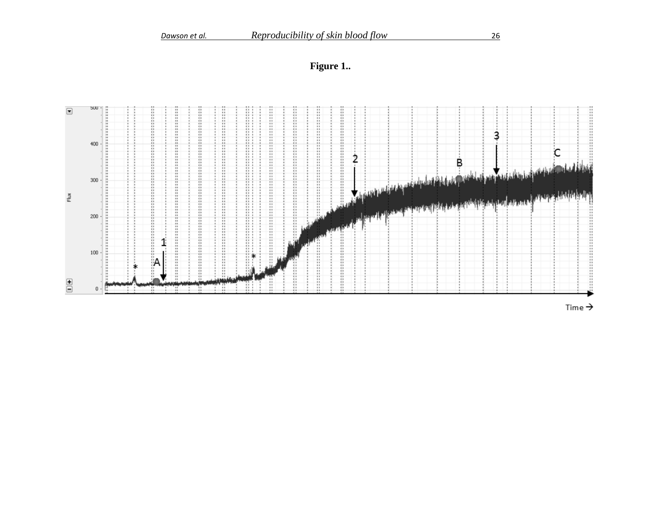